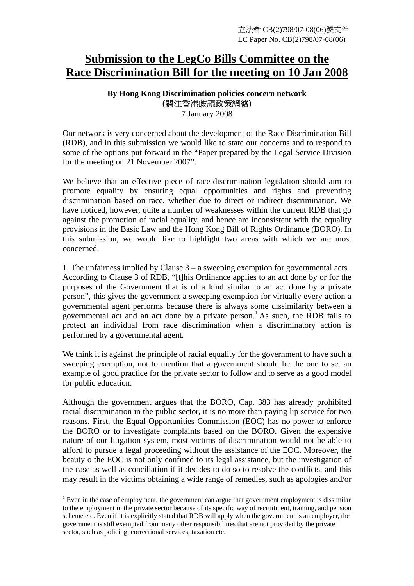## **Submission to the LegCo Bills Committee on the Race Discrimination Bill for the meeting on 10 Jan 2008**

## **By Hong Kong Discrimination policies concern network (**關注香港歧視政策網絡**)**

7 January 2008

Our network is very concerned about the development of the Race Discrimination Bill (RDB), and in this submission we would like to state our concerns and to respond to some of the options put forward in the "Paper prepared by the Legal Service Division for the meeting on 21 November 2007".

We believe that an effective piece of race-discrimination legislation should aim to promote equality by ensuring equal opportunities and rights and preventing discrimination based on race, whether due to direct or indirect discrimination. We have noticed, however, quite a number of weaknesses within the current RDB that go against the promotion of racial equality, and hence are inconsistent with the equality provisions in the Basic Law and the Hong Kong Bill of Rights Ordinance (BORO). In this submission, we would like to highlight two areas with which we are most concerned.

1. The unfairness implied by Clause 3 – a sweeping exemption for governmental acts According to Clause 3 of RDB, "[t]his Ordinance applies to an act done by or for the purposes of the Government that is of a kind similar to an act done by a private person", this gives the government a sweeping exemption for virtually every action a governmental agent performs because there is always some dissimilarity between a governmental act and an act done by a private person.<sup>1</sup> As such, the RDB fails to protect an individual from race discrimination when a discriminatory action is performed by a governmental agent.

We think it is against the principle of racial equality for the government to have such a sweeping exemption, not to mention that a government should be the one to set an example of good practice for the private sector to follow and to serve as a good model for public education.

Although the government argues that the BORO, Cap. 383 has already prohibited racial discrimination in the public sector, it is no more than paying lip service for two reasons. First, the Equal Opportunities Commission (EOC) has no power to enforce the BORO or to investigate complaints based on the BORO. Given the expensive nature of our litigation system, most victims of discrimination would not be able to afford to pursue a legal proceeding without the assistance of the EOC. Moreover, the beauty o the EOC is not only confined to its legal assistance, but the investigation of the case as well as conciliation if it decides to do so to resolve the conflicts, and this may result in the victims obtaining a wide range of remedies, such as apologies and/or

 $\overline{a}$ 

 $1$  Even in the case of employment, the government can argue that government employment is dissimilar to the employment in the private sector because of its specific way of recruitment, training, and pension scheme etc. Even if it is explicitly stated that RDB will apply when the government is an employer, the government is still exempted from many other responsibilities that are not provided by the private sector, such as policing, correctional services, taxation etc.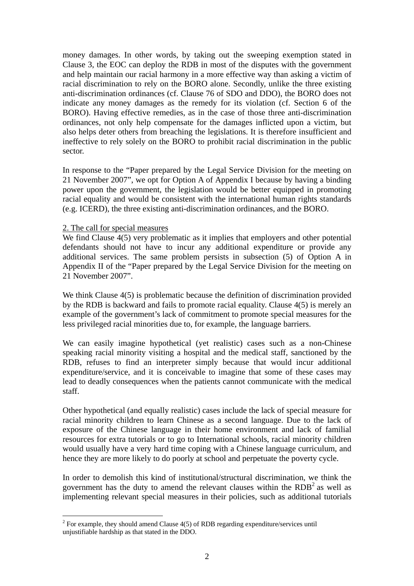money damages. In other words, by taking out the sweeping exemption stated in Clause 3, the EOC can deploy the RDB in most of the disputes with the government and help maintain our racial harmony in a more effective way than asking a victim of racial discrimination to rely on the BORO alone. Secondly, unlike the three existing anti-discrimination ordinances (cf. Clause 76 of SDO and DDO), the BORO does not indicate any money damages as the remedy for its violation (cf. Section 6 of the BORO). Having effective remedies, as in the case of those three anti-discrimination ordinances, not only help compensate for the damages inflicted upon a victim, but also helps deter others from breaching the legislations. It is therefore insufficient and ineffective to rely solely on the BORO to prohibit racial discrimination in the public sector.

In response to the "Paper prepared by the Legal Service Division for the meeting on 21 November 2007", we opt for Option A of Appendix I because by having a binding power upon the government, the legislation would be better equipped in promoting racial equality and would be consistent with the international human rights standards (e.g. ICERD), the three existing anti-discrimination ordinances, and the BORO.

## 2. The call for special measures

 $\overline{a}$ 

We find Clause  $4(5)$  very problematic as it implies that employers and other potential defendants should not have to incur any additional expenditure or provide any additional services. The same problem persists in subsection (5) of Option A in Appendix II of the "Paper prepared by the Legal Service Division for the meeting on 21 November 2007".

We think Clause  $4(5)$  is problematic because the definition of discrimination provided by the RDB is backward and fails to promote racial equality. Clause 4(5) is merely an example of the government's lack of commitment to promote special measures for the less privileged racial minorities due to, for example, the language barriers.

We can easily imagine hypothetical (yet realistic) cases such as a non-Chinese speaking racial minority visiting a hospital and the medical staff, sanctioned by the RDB, refuses to find an interpreter simply because that would incur additional expenditure/service, and it is conceivable to imagine that some of these cases may lead to deadly consequences when the patients cannot communicate with the medical staff.

Other hypothetical (and equally realistic) cases include the lack of special measure for racial minority children to learn Chinese as a second language. Due to the lack of exposure of the Chinese language in their home environment and lack of familial resources for extra tutorials or to go to International schools, racial minority children would usually have a very hard time coping with a Chinese language curriculum, and hence they are more likely to do poorly at school and perpetuate the poverty cycle.

In order to demolish this kind of institutional/structural discrimination, we think the government has the duty to amend the relevant clauses within the  $RDB<sup>2</sup>$  as well as implementing relevant special measures in their policies, such as additional tutorials

<sup>&</sup>lt;sup>2</sup> For example, they should amend Clause  $4(5)$  of RDB regarding expenditure/services until unjustifiable hardship as that stated in the DDO.